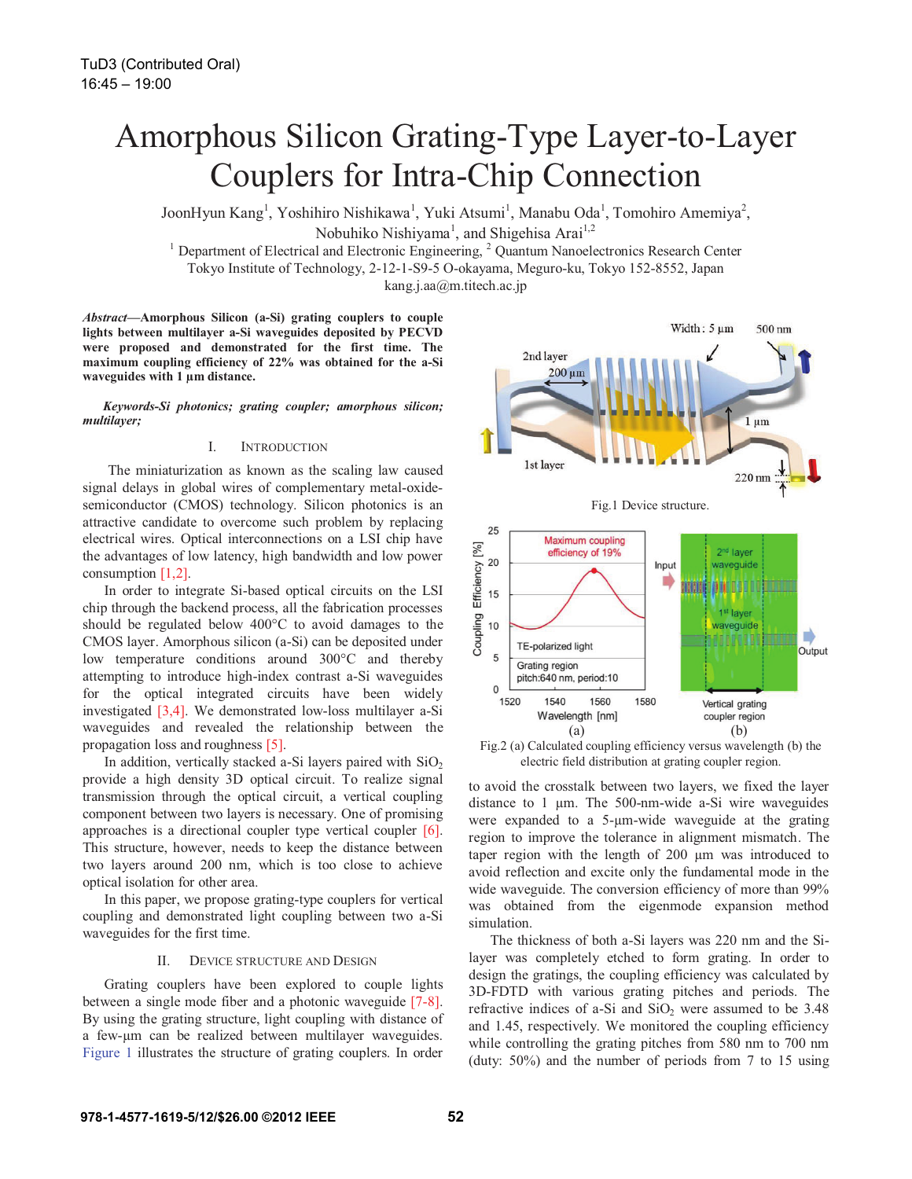# Amorphous Silicon Grating-Type Layer-to-Layer Couplers for Intra-Chip Connection

JoonHyun Kang<sup>1</sup>, Yoshihiro Nishikawa<sup>1</sup>, Yuki Atsumi<sup>1</sup>, Manabu Oda<sup>1</sup>, Tomohiro Amemiya<sup>2</sup>,

Nobuhiko Nishiyama<sup>1</sup>, and Shigehisa Arai<sup>1,2</sup>

<sup>1</sup> Department of Electrical and Electronic Engineering,  $2$  Quantum Nanoelectronics Research Center Tokyo Institute of Technology, 2-12-1-S9-5 O-okayama, Meguro-ku, Tokyo 152-8552, Japan kang.j.aa@m.titech.ac.jp

*Abstract***—Amorphous Silicon (a-Si) grating couplers to couple lights between multilayer a-Si waveguides deposited by PECVD were proposed and demonstrated for the first time. The maximum coupling efficiency of 22% was obtained for the a-Si waveguides with 1 μm distance.** 

*Keywords-Si photonics; grating coupler; amorphous silicon; multilayer;* 

### I. INTRODUCTION

 The miniaturization as known as the scaling law caused signal delays in global wires of complementary metal-oxidesemiconductor (CMOS) technology. Silicon photonics is an attractive candidate to overcome such problem by replacing electrical wires. Optical interconnections on a LSI chip have the advantages of low latency, high bandwidth and low power consumption [1,2].

In order to integrate Si-based optical circuits on the LSI chip through the backend process, all the fabrication processes should be regulated below 400°C to avoid damages to the CMOS layer. Amorphous silicon (a-Si) can be deposited under low temperature conditions around 300°C and thereby attempting to introduce high-index contrast a-Si waveguides for the optical integrated circuits have been widely investigated [3,4]. We demonstrated low-loss multilayer a-Si waveguides and revealed the relationship between the propagation loss and roughness [5].

In addition, vertically stacked a-Si layers paired with  $SiO<sub>2</sub>$ provide a high density 3D optical circuit. To realize signal transmission through the optical circuit, a vertical coupling component between two layers is necessary. One of promising approaches is a directional coupler type vertical coupler [6]. This structure, however, needs to keep the distance between two layers around 200 nm, which is too close to achieve optical isolation for other area.

In this paper, we propose grating-type couplers for vertical coupling and demonstrated light coupling between two a-Si waveguides for the first time.

# II. DEVICE STRUCTURE AND DESIGN

Grating couplers have been explored to couple lights between a single mode fiber and a photonic waveguide [7-8]. By using the grating structure, light coupling with distance of a few-μm can be realized between multilayer waveguides. Figure 1 illustrates the structure of grating couplers. In order



Fig.2 (a) Calculated coupling efficiency versus wavelength (b) the electric field distribution at grating coupler region.

to avoid the crosstalk between two layers, we fixed the layer distance to 1 μm. The 500-nm-wide a-Si wire waveguides were expanded to a 5-μm-wide waveguide at the grating region to improve the tolerance in alignment mismatch. The taper region with the length of 200 μm was introduced to avoid reflection and excite only the fundamental mode in the wide waveguide. The conversion efficiency of more than 99% was obtained from the eigenmode expansion method simulation.

The thickness of both a-Si layers was 220 nm and the Silayer was completely etched to form grating. In order to design the gratings, the coupling efficiency was calculated by 3D-FDTD with various grating pitches and periods. The refractive indices of a-Si and  $SiO<sub>2</sub>$  were assumed to be 3.48 and 1.45, respectively. We monitored the coupling efficiency while controlling the grating pitches from 580 nm to 700 nm (duty: 50%) and the number of periods from 7 to 15 using